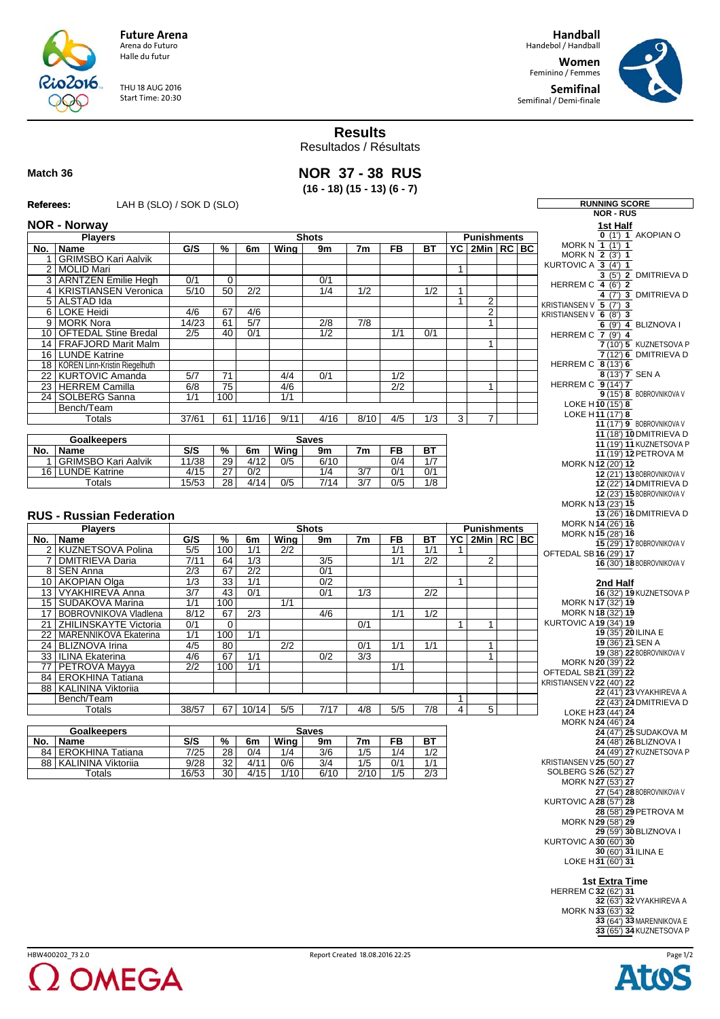

**Future Arena** Arena do Futuro Halle du futur

THU 18 AUG 2016 Start Time: 20:30

**Handball** Handebol / Handball

**Women** Feminino / Femmes **Semifinal**

Semifinal / Demi-finale



**RUNNING SCORE** 

**Results**

Resultados / Résultats

## **Match 36**

**NOR 37 - 38 RUS (16 - 18) (15 - 13) (6 - 7)**

| Referees: |  |
|-----------|--|
|           |  |

**Referees:** LAH B (SLO) / SOK D (SLO) **REferees:** 

|     |                                  |                  |                 |                  |                  |                  |                  |                  |                  |              |                                         |  | NUR - RUS                                           |
|-----|----------------------------------|------------------|-----------------|------------------|------------------|------------------|------------------|------------------|------------------|--------------|-----------------------------------------|--|-----------------------------------------------------|
|     | <b>NOR - Norway</b>              |                  |                 |                  |                  |                  |                  |                  |                  |              |                                         |  | 1st Half<br>$0$ (1') 1 AKOPIAN O                    |
|     | <b>Players</b>                   |                  |                 |                  |                  | <b>Shots</b>     |                  |                  |                  |              | <b>Punishments</b>                      |  | MORK N 1 (1') 1                                     |
| No. | Name                             | G/S              | %               | 6m               | Wing             | 9m               | 7m               | <b>FB</b>        | <b>BT</b>        |              | $\overline{PC}$ 2Min $\overline{RC}$ BC |  | MORK N $\overline{2}$ (3') 1                        |
|     | 1 GRIMSBO Kari Aalvik            |                  |                 |                  |                  |                  |                  |                  |                  |              |                                         |  | KURTOVIC A $\overline{3(4)}$ 1                      |
|     | 2 MOLID Mari                     |                  |                 |                  |                  |                  |                  |                  |                  | $\mathbf{1}$ |                                         |  | 3 (5') 2 DMITRIEVA D                                |
|     | 3 ARNTZEN Emilie Hegh            | 0/1              | $\overline{0}$  |                  |                  | 0/1              |                  |                  |                  |              |                                         |  | HERREM C 4 (6') 2                                   |
|     | 4 KRISTIANSEN Veronica           | 5/10             | 50              | $\overline{2/2}$ |                  | 1/4              | 1/2              |                  | 1/2              | $\mathbf{1}$ |                                         |  | 4 (7') 3 DMITRIEVA D                                |
|     | 5 ALSTAD Ida                     |                  |                 |                  |                  |                  |                  |                  |                  | $\mathbf{1}$ | $\overline{2}$                          |  | KRISTIANSEN V 5 (7') 3                              |
|     | 6 LOKE Heidi<br>9 MORK Nora      | 4/6<br>14/23     | 67<br>61        | 4/6<br>5/7       |                  | $\overline{2/8}$ | $\overline{7/8}$ |                  |                  |              | $\overline{2}$<br>$\mathbf{1}$          |  | KRISTIANSEN V 6 (8') 3                              |
|     | 10   OFTEDAL Stine Bredal        | 2/5              | 40              | 0/1              |                  | 1/2              |                  | 1/1              | 0/1              |              |                                         |  | $6$ (9') 4 BLIZNOVA I                               |
|     | 14 FRAFJORD Marit Malm           |                  |                 |                  |                  |                  |                  |                  |                  |              | $\mathbf{1}$                            |  | HERREM C 7 (9') 4<br>7 (10') 5 KUZNETSOVA P         |
|     | 16   LUNDE Katrine               |                  |                 |                  |                  |                  |                  |                  |                  |              |                                         |  | 7 (12') 6 DMITRIEVA D                               |
|     | 18 KOREN Linn-Kristin Riegelhuth |                  |                 |                  |                  |                  |                  |                  |                  |              |                                         |  | HERREM C $\overline{8}$ (13') 6                     |
|     | 22 KURTOVIC Amanda               | 5/7              | $\overline{71}$ |                  | 4/4              | 0/1              |                  | 1/2              |                  |              |                                         |  | 8 (13') 7 SEN A                                     |
|     | 23 HERREM Camilla                | 6/8              | 75              |                  | 4/6              |                  |                  | $\overline{2/2}$ |                  |              | $\mathbf{1}$                            |  | <b>HERREM C 9 (14') 7</b>                           |
|     | 24   SOLBERG Sanna               | 1/1              | 100             |                  | 1/1              |                  |                  |                  |                  |              |                                         |  | 9 (15') 8 BOBROVNIKOVA V                            |
|     | Bench/Team                       |                  |                 |                  |                  |                  |                  |                  |                  |              |                                         |  | LOKE H10 (15') 8                                    |
|     | Totals                           | 37/61            | 61              | 11/16            | 9/11             | 4/16             | 8/10             | 4/5              | $\overline{1/3}$ | 3            | 7                                       |  | LOKE H11 (17') 8                                    |
|     |                                  |                  |                 |                  |                  |                  |                  |                  |                  |              |                                         |  | 11 (17') 9 BOBROVNIKOVA V                           |
|     | <b>Goalkeepers</b>               |                  |                 |                  |                  | <b>Saves</b>     |                  |                  |                  |              |                                         |  | 11 (18') 10 DMITRIEVA D                             |
|     | No.   Name                       | S/S              | %               | 6m               | Wing             | 9m               | 7 <sub>m</sub>   | <b>FB</b>        | <b>BT</b>        |              |                                         |  | 11 (19') 11 KUZNETSOVA P<br>11 (19') 12 PETROVA M   |
|     | 1 GRIMSBO Kari Aalvik            | 11/38            | $\overline{29}$ | 4/12             | 0/5              | 6/10             |                  | 0/4              | 1/7              |              |                                         |  | MORK N12 (20') 12                                   |
|     | 16 LUNDE Katrine                 | 4/15             | $\overline{27}$ | $\overline{0/2}$ |                  | 1/4              | $\overline{3/7}$ | 0/1              | 0/1              |              |                                         |  | 12 (21') 13 BOBROVNIKOVA V                          |
|     | Totals                           | 15/53            | $\overline{28}$ | 4/14             | 0/5              | 7/14             | 3/7              | 0/5              | 1/8              |              |                                         |  | 12 (22') 14 DMITRIEVA D                             |
|     |                                  |                  |                 |                  |                  |                  |                  |                  |                  |              |                                         |  | 12 (23') 15 BOBROVNIKOVA V                          |
|     |                                  |                  |                 |                  |                  |                  |                  |                  |                  |              |                                         |  | MORK N13 (23') 15                                   |
|     | <b>RUS - Russian Federation</b>  |                  |                 |                  |                  |                  |                  |                  |                  |              |                                         |  | 13 (26') 16 DMITRIEVA D                             |
|     | <b>Players</b>                   |                  |                 |                  |                  | <b>Shots</b>     |                  |                  |                  |              | <b>Punishments</b>                      |  | MORK N14 (26') 16                                   |
|     | No.   Name                       | G/S              | %               | 6m               | Wing             | 9m               | 7 <sub>m</sub>   | <b>FB</b>        | ВT               |              | $YC$   2Min   RC   BC                   |  | MORK N15 (28') 16                                   |
|     | 2 KUZNETSOVA Polina              | 5/5              | 100             | 1/1              | $\overline{2/2}$ |                  |                  | 1/1              | 1/1              | $\mathbf{1}$ |                                         |  | 15 (29') 17 BOBROVNIKOVA V                          |
|     | 7   DMITRIEVA Daria              | 7/11             | 64              | 1/3              |                  | $\overline{3/5}$ |                  | 1/1              | $\overline{2/2}$ |              | $\overline{2}$                          |  | OFTEDAL SB16 (29') 17<br>16 (30') 18 BOBROVNIKOVA V |
|     | 8 SEN Anna                       | $\overline{2/3}$ | 67              | $\overline{2/2}$ |                  | 0/1              |                  |                  |                  |              |                                         |  |                                                     |
|     | 10 AKOPIAN Olga                  | $\overline{1/3}$ | $\overline{33}$ | 1/1              |                  | 0/2              |                  |                  |                  | 1            |                                         |  | 2nd Half                                            |
|     | 13   VYAKHIREVA Anna             | $\overline{3/7}$ | 43              | 0/1              |                  | 0/1              | 1/3              |                  | $\overline{2/2}$ |              |                                         |  | 16 (32') 19 KUZNETSOVA P                            |
|     | 15   SUDAKOVA Marina             | 1/1              | 100             |                  | 1/1              |                  |                  |                  |                  |              |                                         |  | MORK N17 (32') 19                                   |
|     | 17 BOBROVNIKOVA Vladlena         | 8/12             | 67              | $\overline{2/3}$ |                  | 4/6              |                  | 1/1              | $\overline{1/2}$ |              |                                         |  | MORK N18 (32') 19                                   |
|     | 21 ZHILINSKAYTE Victoria         | 0/1              | $\mathbf 0$     |                  |                  |                  | 0/1              |                  |                  | $\mathbf{1}$ | 1                                       |  | <b>KURTOVIC A19 (34') 19</b>                        |
|     | 22   MARENNIKOVA Ekaterina       | 1/1              | 100             | 1/1              |                  |                  |                  |                  |                  |              |                                         |  | $19(35')$ 20 ILINA E                                |
|     | 24 BLIZNOVA Irina                | 4/5              | 80              |                  | $\overline{2/2}$ |                  | 0/1              | 1/1              | 1/1              |              | $\mathbf{1}$                            |  | 19 (36') 21 SEN A                                   |
|     | 33   ILINA Ekaterina             | 4/6              | 67              | 1/1              |                  | 0/2              | 3/3              |                  |                  |              | $\mathbf{1}$                            |  | 19 (38') 22 BOBROVNIKOVA V                          |
| 77  | <b>PETROVA Mayya</b>             | 2/2              | 100             | 1/1              |                  |                  |                  | 1/1              |                  |              |                                         |  | MORK N 20 (39') 22<br>OFTEDAL SB 21 (39') 22        |
|     | 84 EROKHINA Tatiana              |                  |                 |                  |                  |                  |                  |                  |                  |              |                                         |  | KRISTIANSEN V22 (40') 22                            |
|     | 88   KALININA Viktoriia          |                  |                 |                  |                  |                  |                  |                  |                  |              |                                         |  | 22 (41') 23 VYAKHIREVA A                            |
|     | Bench/Team                       |                  |                 |                  |                  |                  |                  |                  |                  | $\mathbf{1}$ |                                         |  | 22 (43') 24 DMITRIEVA D                             |
|     | <b>Totals</b>                    | 38/57            | 67              | 10/14            | 5/5              | 7/17             | 4/8              | 5/5              | $\overline{7/8}$ | 4            | 5 <sup>5</sup>                          |  | LOKE H23 (44') 24                                   |
|     |                                  |                  |                 |                  |                  |                  |                  |                  |                  |              |                                         |  | MORK N 24 (46') 24                                  |
|     | <b>Goalkeepers</b>               |                  |                 |                  |                  | <b>Saves</b>     |                  |                  |                  |              |                                         |  | 24 (47') 25 SUDAKOVA M                              |
|     | No.   Name                       | S/S              | $\frac{9}{6}$   | 6m               | <b>Wing</b>      | 9m               | 7m               | FB               | <b>BT</b>        |              |                                         |  | 24 (48') 26 BLIZNOVA I                              |
|     | 84 EROKHINA Tatiana              | 7/25             | $\overline{28}$ | 0/4              | 1/4              | 3/6              | 1/5              | 1/4              | 1/2              |              |                                         |  | 24 (49') 27 KUZNETSOVA P                            |
|     | 88 KALININA Viktoriia            | 9/28             | 32              | 4/11             | 0/6              | 3/4              | 1/5              | 0/1              | 1/1              |              |                                         |  | KRISTIANSEN V 25 (50') 27                           |
|     | Totals                           | 16/53            | $\overline{30}$ | 4/15             | 1/10             | 6/10             | 2/10             | 1/5              | $\overline{2/3}$ |              |                                         |  | SOLBERG S26 (52') 27<br>MORK N 27 (53') 27          |
|     |                                  |                  |                 |                  |                  |                  |                  |                  |                  |              |                                         |  | 27 (54') 28 BOBROVNIKOVA V                          |
|     |                                  |                  |                 |                  |                  |                  |                  |                  |                  |              |                                         |  | <b>KURTOVIC A28 (57') 28</b>                        |
|     |                                  |                  |                 |                  |                  |                  |                  |                  |                  |              |                                         |  | 28 (58') 29 PETROVA M                               |
|     |                                  |                  |                 |                  |                  |                  |                  |                  |                  |              |                                         |  | MORK N 29 (58') 29                                  |
|     |                                  |                  |                 |                  |                  |                  |                  |                  |                  |              |                                         |  | 29 (59') 30 BLIZNOVA I                              |
|     |                                  |                  |                 |                  |                  |                  |                  |                  |                  |              |                                         |  | <b>KURTOVIC A 30 (60') 30</b>                       |
|     |                                  |                  |                 |                  |                  |                  |                  |                  |                  |              |                                         |  | 30 (60') 31 ILINA E                                 |
|     |                                  |                  |                 |                  |                  |                  |                  |                  |                  |              |                                         |  | LOKE H31 (60') 31                                   |
|     |                                  |                  |                 |                  |                  |                  |                  |                  |                  |              |                                         |  |                                                     |
|     |                                  |                  |                 |                  |                  |                  |                  |                  |                  |              |                                         |  | 1st Extra Time                                      |
|     |                                  |                  |                 |                  |                  |                  |                  |                  |                  |              |                                         |  | <b>HERREM C32 (62') 31</b>                          |
|     |                                  |                  |                 |                  |                  |                  |                  |                  |                  |              |                                         |  | 32 (63') 32 VYAKHIREVA A<br>MORK N 33 (63') 32      |
|     |                                  |                  |                 |                  |                  |                  |                  |                  |                  |              |                                         |  | 33 (64') 33 MARENNIKOVA E                           |
|     |                                  |                  |                 |                  |                  |                  |                  |                  |                  |              |                                         |  | 33 (65') 34 KUZNETSOVA P                            |
|     |                                  |                  |                 |                  |                  |                  |                  |                  |                  |              |                                         |  |                                                     |